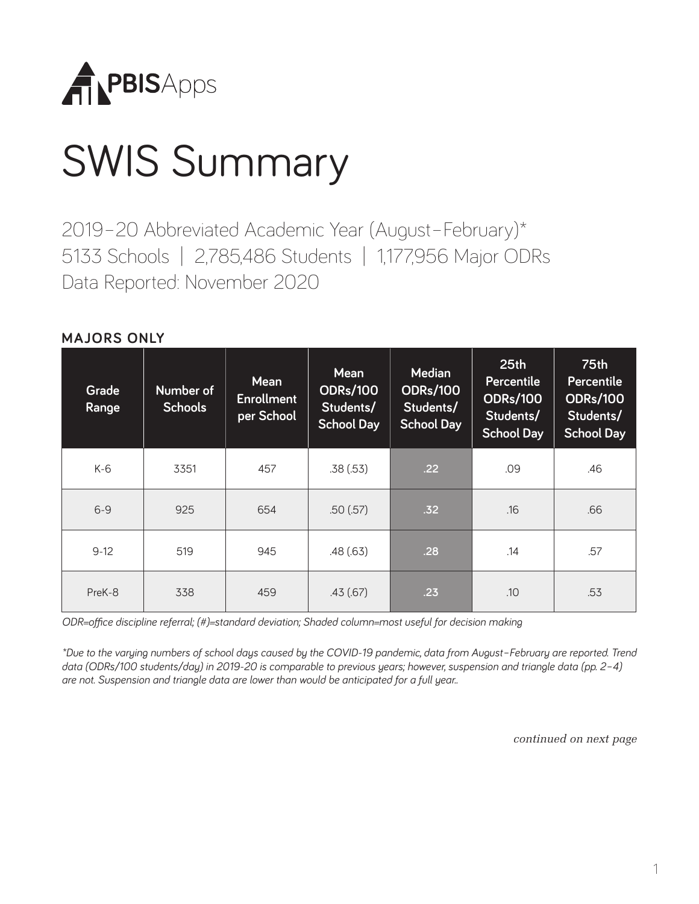

# SWIS Summary

2019–20 Abbreviated Academic Year (August–February)\* 5133 Schools | 2,785,486 Students | 1,177,956 Major ODRs Data Reported: November 2020

#### **MAJORS ONLY**

| Grade<br>Range | Number of<br><b>Schools</b> | <b>Mean</b><br><b>Enrollment</b><br>per School | <b>Mean</b><br><b>ODRs/100</b><br>Students/<br><b>School Day</b> | <b>Median</b><br><b>ODRs/100</b><br>Students/<br><b>School Day</b> | 25 <sub>th</sub><br>Percentile<br><b>ODRs/100</b><br>Students/<br><b>School Day</b> | <b>75th</b><br><b>Percentile</b><br><b>ODRs/100</b><br>Students/<br><b>School Day</b> |
|----------------|-----------------------------|------------------------------------------------|------------------------------------------------------------------|--------------------------------------------------------------------|-------------------------------------------------------------------------------------|---------------------------------------------------------------------------------------|
| K-6            | 3351                        | 457                                            | .38(.53)                                                         | .22                                                                | .09                                                                                 | .46                                                                                   |
| $6 - 9$        | 925                         | 654                                            | .50(.57)                                                         | .32                                                                | .16                                                                                 | .66                                                                                   |
| $9-12$         | 519                         | 945                                            | .48(.63)                                                         | .28                                                                | .14                                                                                 | .57                                                                                   |
| PreK-8         | 338                         | 459                                            | .43(.67)                                                         | .23                                                                | .10                                                                                 | .53                                                                                   |

*ODR=office discipline referral; (#)=standard deviation; Shaded column=most useful for decision making*

*\*Due to the varying numbers of school days caused by the COVID-19 pandemic, data from August–February are reported. Trend data (ODRs/100 students/day) in 2019-20 is comparable to previous years; however, suspension and triangle data (pp. 2–4) are not. Suspension and triangle data are lower than would be anticipated for a full year..*

*continued on next page*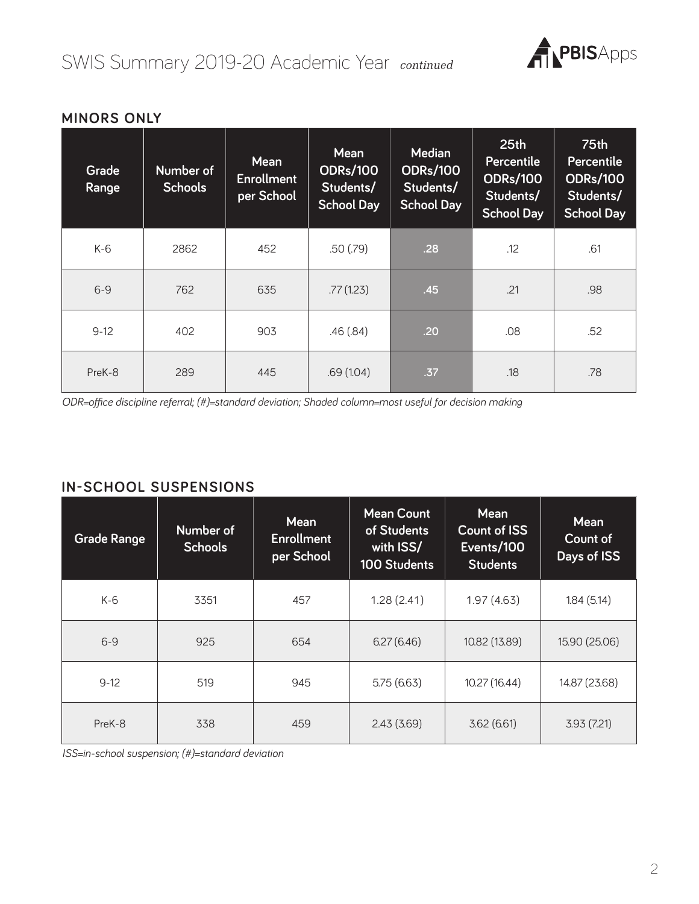

| Grade<br>Range | Number of<br><b>Schools</b> | <b>Mean</b><br><b>Enrollment</b><br>per School | <b>Mean</b><br><b>ODRs/100</b><br>Students/<br><b>School Day</b> | <b>Median</b><br><b>ODRs/100</b><br>Students/<br><b>School Day</b> | 25 <sub>th</sub><br><b>Percentile</b><br><b>ODRs/100</b><br>Students/<br><b>School Day</b> | <b>75th</b><br><b>Percentile</b><br><b>ODRs/100</b><br>Students/<br><b>School Day</b> |
|----------------|-----------------------------|------------------------------------------------|------------------------------------------------------------------|--------------------------------------------------------------------|--------------------------------------------------------------------------------------------|---------------------------------------------------------------------------------------|
| $K-6$          | 2862                        | 452                                            | .50(.79)                                                         | .28                                                                | .12                                                                                        | .61                                                                                   |
| $6 - 9$        | 762                         | 635                                            | .77(1.23)                                                        | .45                                                                | .21                                                                                        | .98                                                                                   |
| $9-12$         | 402                         | 903                                            | .46(.84)                                                         | .20                                                                | .08                                                                                        | .52                                                                                   |
| PreK-8         | 289                         | 445                                            | .69(1.04)                                                        | .37                                                                | .18                                                                                        | .78                                                                                   |

### **MINORS ONLY**

*ODR=office discipline referral; (#)=standard deviation; Shaded column=most useful for decision making*

#### **IN-SCHOOL SUSPENSIONS**

| <b>Grade Range</b> | Number of<br><b>Schools</b> | <b>Mean</b><br><b>Enrollment</b><br>per School | <b>Mean Count</b><br>of Students<br>with ISS/<br>100 Students | <b>Mean</b><br><b>Count of ISS</b><br>Events/100<br><b>Students</b> | <b>Mean</b><br>Count of<br>Days of ISS |
|--------------------|-----------------------------|------------------------------------------------|---------------------------------------------------------------|---------------------------------------------------------------------|----------------------------------------|
| $K-6$              | 3351                        | 457                                            | 1.28(2.41)                                                    | 1.97(4.63)                                                          | 1.84(5.14)                             |
| $6 - 9$            | 925                         | 654                                            | 6.27(6.46)                                                    | 10.82 (13.89)                                                       | 15.90 (25.06)                          |
| $9-12$             | 519                         | 945                                            | 5.75(6.63)                                                    | 10.27 (16.44)                                                       | 14.87 (23.68)                          |
| PreK-8             | 338                         | 459                                            | 2.43(3.69)                                                    | 3.62(6.61)                                                          | 3.93(7.21)                             |

*ISS=in-school suspension; (#)=standard deviation*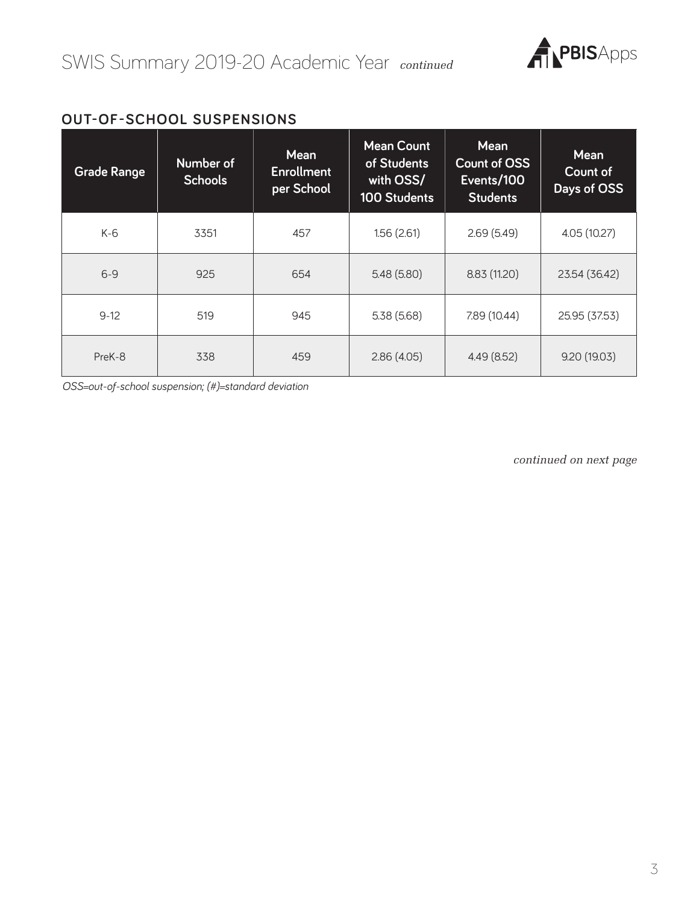

#### **OUT-OF-SCHOOL SUSPENSIONS**

| <b>Grade Range</b> | Number of<br><b>Schools</b> | <b>Mean</b><br><b>Enrollment</b><br>per School | <b>Mean Count</b><br>of Students<br>with OSS/<br><b>100 Students</b> | <b>Mean</b><br><b>Count of OSS</b><br>Events/100<br><b>Students</b> | <b>Mean</b><br>Count of<br>Days of OSS |
|--------------------|-----------------------------|------------------------------------------------|----------------------------------------------------------------------|---------------------------------------------------------------------|----------------------------------------|
| $K-6$              | 3351                        | 457                                            | 1.56(2.61)                                                           | 2.69(5.49)                                                          | 4.05 (10.27)                           |
| $6 - 9$            | 925                         | 654                                            | 5.48(5.80)                                                           | 8.83 (11.20)                                                        | 23.54 (36.42)                          |
| $9 - 12$           | 519                         | 945                                            | 5.38(5.68)                                                           | 7.89 (10.44)                                                        | 25.95 (37.53)                          |
| PreK-8             | 338                         | 459                                            | 2.86(4.05)                                                           | 4.49(8.52)                                                          | 9.20(19.03)                            |

*OSS=out-of-school suspension; (#)=standard deviation*

*continued on next page*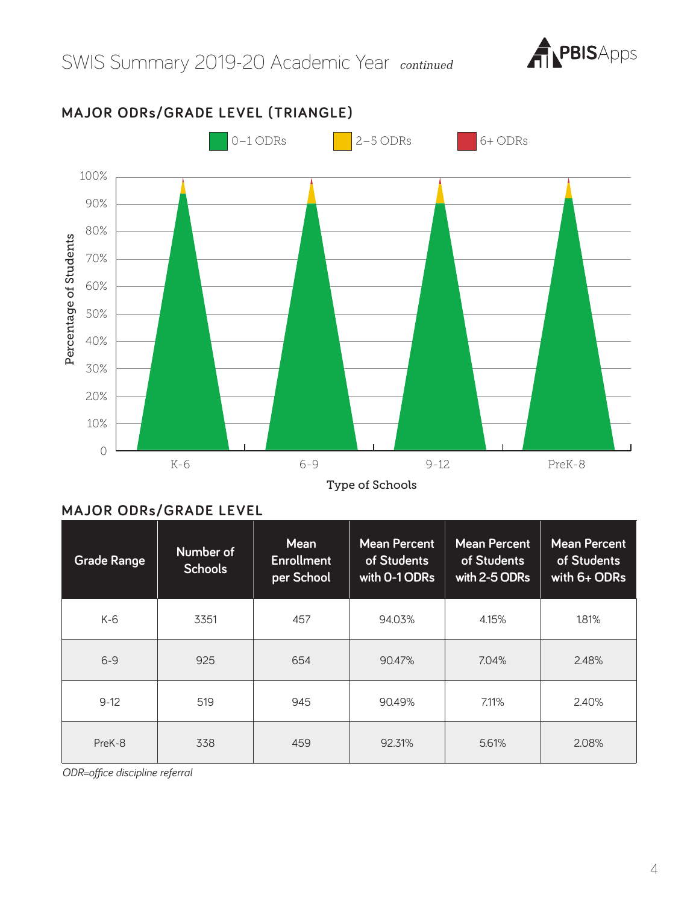



**MAJOR ODRs/GRADE LEVEL (TRIANGLE)**

Type of Schools

## **MAJOR ODRs/GRADE LEVEL**

| <b>Grade Range</b> | Number of<br><b>Schools</b> | <b>Mean</b><br><b>Enrollment</b><br>per School | <b>Mean Percent</b><br>of Students<br>with 0-1 ODRs | <b>Mean Percent</b><br>of Students<br>with 2-5 ODRs | <b>Mean Percent</b><br>of Students<br>with 6+ ODRs |
|--------------------|-----------------------------|------------------------------------------------|-----------------------------------------------------|-----------------------------------------------------|----------------------------------------------------|
| K-6                | 3351                        | 457                                            | 94.03%                                              | 4.15%                                               | 1.81%                                              |
| $6 - 9$            | 925                         | 654                                            | 90.47%                                              | 7.04%                                               | 2.48%                                              |
| $9 - 12$           | 519                         | 945                                            | 90.49%                                              | 7.11%                                               | 2.40%                                              |
| PreK-8             | 338                         | 459                                            | 92.31%                                              | 5.61%                                               | 2.08%                                              |

*ODR=office discipline referral*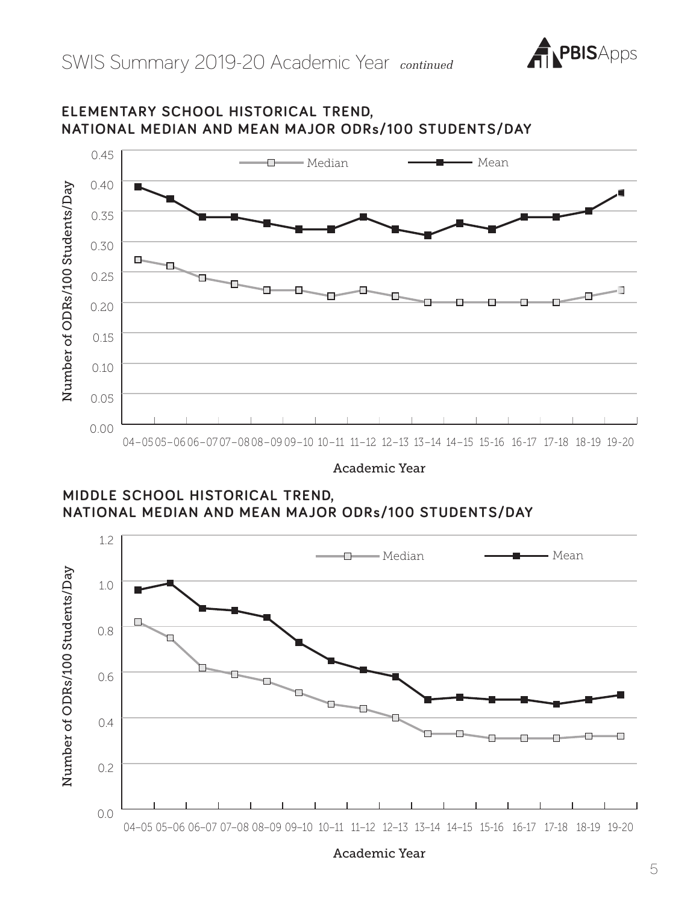

# **NATIONAL MEDIAN AND MEAN MAJOR ODRs/100 STUDENTS/DAY** 0.45 Median Mean 0.40 Number of ODRs/100 Students/Day Number of ODRs/100 Students/Day 0.35 0.30 о. п 0.25 0.20

**ELEMENTARY SCHOOL HISTORICAL TREND,** 

04–05 05–06 06–07 07–0808–09 09–10 10–11 11–12 12–13 13–14 14–15 15-16 16-17 17-18 18-19 19-20

Academic Year

**MIDDLE SCHOOL HISTORICAL TREND, NATIONAL MEDIAN AND MEAN MAJOR ODRs/100 STUDENTS/DAY**

0.00

0.05

0.10

0.15



Academic Year